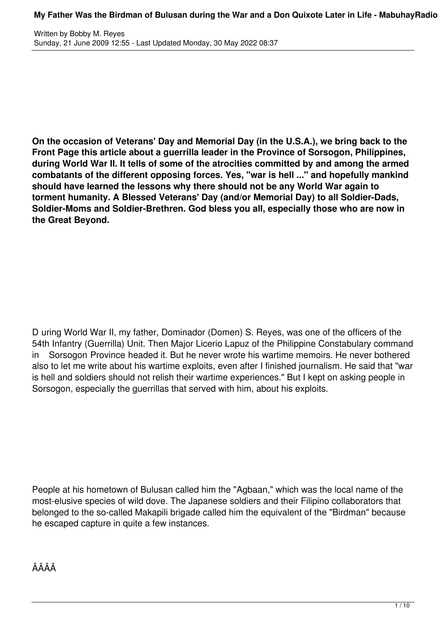**On the occasion of Veterans' Day and Memorial Day (in the U.S.A.), we bring back to the Front Page this article about a guerrilla leader in the Province of Sorsogon, Philippines, during World War II. It tells of some of the atrocities committed by and among the armed combatants of the different opposing forces. Yes, "war is hell ..." and hopefully mankind should have learned the lessons why there should not be any World War again to torment humanity. A Blessed Veterans' Day (and/or Memorial Day) to all Soldier-Dads, Soldier-Moms and Soldier-Brethren. God bless you all, especially those who are now in the Great Beyond.**

D uring World War II, my father, Dominador (Domen) S. Reyes, was one of the officers of the 54th Infantry (Guerrilla) Unit. Then Major Licerio Lapuz of the Philippine Constabulary command in Sorsogon Province headed it. But he never wrote his wartime memoirs. He never bothered also to let me write about his wartime exploits, even after I finished journalism. He said that "war is hell and soldiers should not relish their wartime experiences." But I kept on asking people in Sorsogon, especially the guerrillas that served with him, about his exploits.

People at his hometown of Bulusan called him the "Agbaan," which was the local name of the most-elusive species of wild dove. The Japanese soldiers and their Filipino collaborators that belonged to the so-called Makapili brigade called him the equivalent of the "Birdman" because he escaped capture in quite a few instances.

ÂÂÂÂ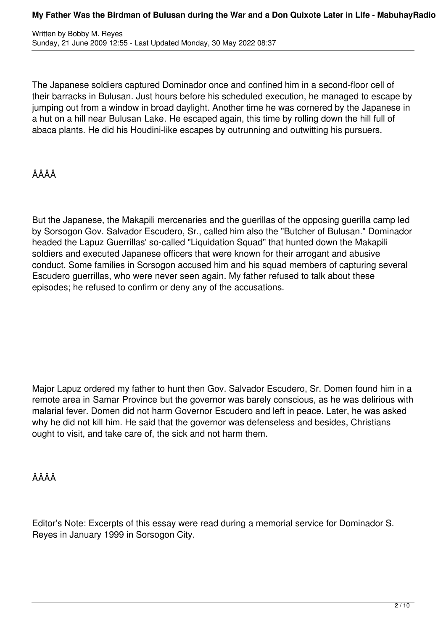The Japanese soldiers captured Dominador once and confined him in a second-floor cell of their barracks in Bulusan. Just hours before his scheduled execution, he managed to escape by jumping out from a window in broad daylight. Another time he was cornered by the Japanese in a hut on a hill near Bulusan Lake. He escaped again, this time by rolling down the hill full of abaca plants. He did his Houdini-like escapes by outrunning and outwitting his pursuers.

# ÂÂÂÂ

But the Japanese, the Makapili mercenaries and the guerillas of the opposing guerilla camp led by Sorsogon Gov. Salvador Escudero, Sr., called him also the "Butcher of Bulusan." Dominador headed the Lapuz Guerrillas' so-called "Liquidation Squad" that hunted down the Makapili soldiers and executed Japanese officers that were known for their arrogant and abusive conduct. Some families in Sorsogon accused him and his squad members of capturing several Escudero guerrillas, who were never seen again. My father refused to talk about these episodes; he refused to confirm or deny any of the accusations.

Major Lapuz ordered my father to hunt then Gov. Salvador Escudero, Sr. Domen found him in a remote area in Samar Province but the governor was barely conscious, as he was delirious with malarial fever. Domen did not harm Governor Escudero and left in peace. Later, he was asked why he did not kill him. He said that the governor was defenseless and besides, Christians ought to visit, and take care of, the sick and not harm them.

ÂÂÂÂ

Editor's Note: Excerpts of this essay were read during a memorial service for Dominador S. Reyes in January 1999 in Sorsogon City.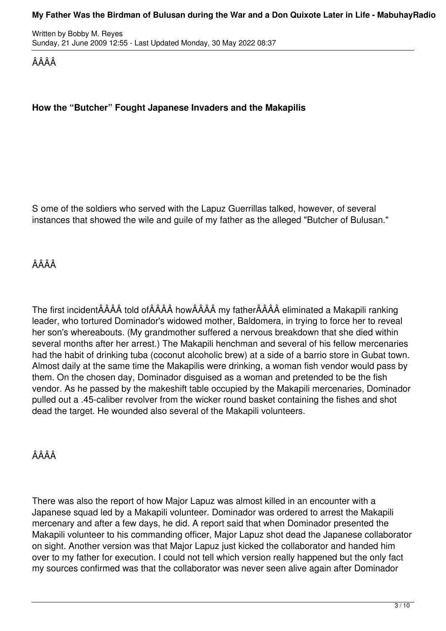Written by Bobby M. Reyes Sunday, 21 June 2009 12:55 - Last Updated Monday, 30 May 2022 08:37

ÂÂÂÂ

### **How the "Butcher" Fought Japanese Invaders and the Makapilis**

S ome of the soldiers who served with the Lapuz Guerrillas talked, however, of several instances that showed the wile and guile of my father as the alleged "Butcher of Bulusan."

## ÂÂÂÂ

The first incidentÂÂÂÂ told ofÂÂÂÂ howÂÂÂÂ my fatherÂÂÂÂ eliminated a Makapili ranking leader, who tortured Dominador's widowed mother, Baldomera, in trying to force her to reveal her son's whereabouts. (My grandmother suffered a nervous breakdown that she died within several months after her arrest.) The Makapili henchman and several of his fellow mercenaries had the habit of drinking tuba (coconut alcoholic brew) at a side of a barrio store in Gubat town. Almost daily at the same time the Makapilis were drinking, a woman fish vendor would pass by them. On the chosen day, Dominador disguised as a woman and pretended to be the fish vendor. As he passed by the makeshift table occupied by the Makapili mercenaries, Dominador pulled out a .45-caliber revolver from the wicker round basket containing the fishes and shot dead the target. He wounded also several of the Makapili volunteers.

## ÂÂÂÂ

There was also the report of how Major Lapuz was almost killed in an encounter with a Japanese squad led by a Makapili volunteer. Dominador was ordered to arrest the Makapili mercenary and after a few days, he did. A report said that when Dominador presented the Makapili volunteer to his commanding officer, Major Lapuz shot dead the Japanese collaborator on sight. Another version was that Major Lapuz just kicked the collaborator and handed him over to my father for execution. I could not tell which version really happened but the only fact my sources confirmed was that the collaborator was never seen alive again after Dominador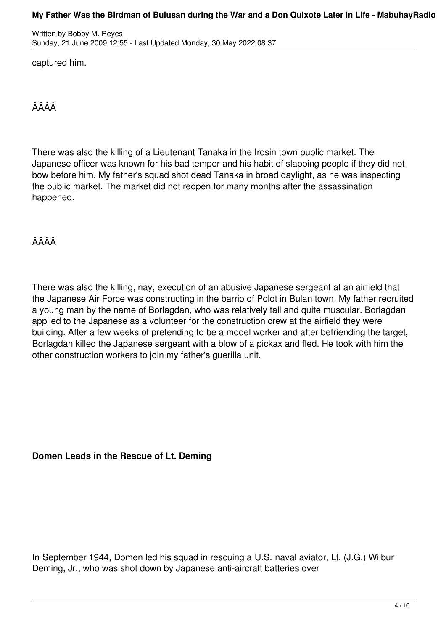Written by Bobby M. Reyes Sunday, 21 June 2009 12:55 - Last Updated Monday, 30 May 2022 08:37

captured him.

ÂÂÂÂ

There was also the killing of a Lieutenant Tanaka in the Irosin town public market. The Japanese officer was known for his bad temper and his habit of slapping people if they did not bow before him. My father's squad shot dead Tanaka in broad daylight, as he was inspecting the public market. The market did not reopen for many months after the assassination happened.

ÂÂÂÂ

There was also the killing, nay, execution of an abusive Japanese sergeant at an airfield that the Japanese Air Force was constructing in the barrio of Polot in Bulan town. My father recruited a young man by the name of Borlagdan, who was relatively tall and quite muscular. Borlagdan applied to the Japanese as a volunteer for the construction crew at the airfield they were building. After a few weeks of pretending to be a model worker and after befriending the target, Borlagdan killed the Japanese sergeant with a blow of a pickax and fled. He took with him the other construction workers to join my father's guerilla unit.

**Domen Leads in the Rescue of Lt. Deming**

In September 1944, Domen led his squad in rescuing a U.S. naval aviator, Lt. (J.G.) Wilbur Deming, Jr., who was shot down by Japanese anti-aircraft batteries over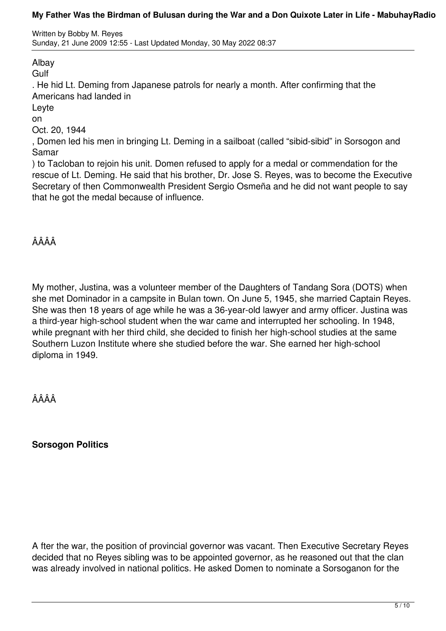Written by Bobby M. Reyes Sunday, 21 June 2009 12:55 - Last Updated Monday, 30 May 2022 08:37

Albay

**Gulf** 

. He hid Lt. Deming from Japanese patrols for nearly a month. After confirming that the Americans had landed in

Leyte

on

Oct. 20, 1944

, Domen led his men in bringing Lt. Deming in a sailboat (called "sibid-sibid" in Sorsogon and Samar

) to Tacloban to rejoin his unit. Domen refused to apply for a medal or commendation for the rescue of Lt. Deming. He said that his brother, Dr. Jose S. Reyes, was to become the Executive Secretary of then Commonwealth President Sergio Osmeña and he did not want people to say that he got the medal because of influence.

ÂÂÂÂ

My mother, Justina, was a volunteer member of the Daughters of Tandang Sora (DOTS) when she met Dominador in a campsite in Bulan town. On June 5, 1945, she married Captain Reyes. She was then 18 years of age while he was a 36-year-old lawyer and army officer. Justina was a third-year high-school student when the war came and interrupted her schooling. In 1948, while pregnant with her third child, she decided to finish her high-school studies at the same Southern Luzon Institute where she studied before the war. She earned her high-school diploma in 1949.

ÂÂÂÂ

**Sorsogon Politics**

A fter the war, the position of provincial governor was vacant. Then Executive Secretary Reyes decided that no Reyes sibling was to be appointed governor, as he reasoned out that the clan was already involved in national politics. He asked Domen to nominate a Sorsoganon for the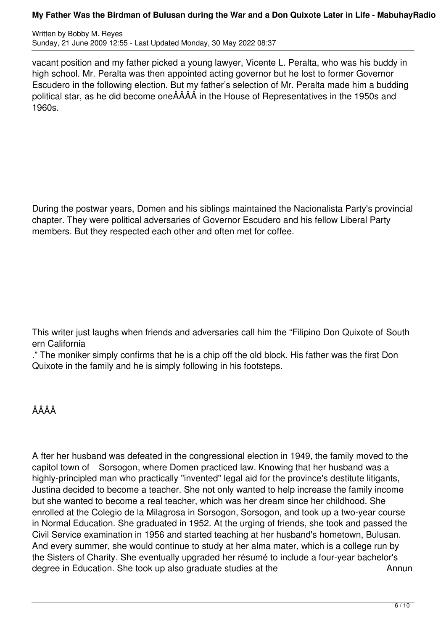Written by Bobby M. Reyes Sunday, 21 June 2009 12:55 - Last Updated Monday, 30 May 2022 08:37

vacant position and my father picked a young lawyer, Vicente L. Peralta, who was his buddy in high school. Mr. Peralta was then appointed acting governor but he lost to former Governor Escudero in the following election. But my father's selection of Mr. Peralta made him a budding political star, as he did become oneÂÂÂÂ in the House of Representatives in the 1950s and 1960s.

During the postwar years, Domen and his siblings maintained the Nacionalista Party's provincial chapter. They were political adversaries of Governor Escudero and his fellow Liberal Party members. But they respected each other and often met for coffee.

This writer just laughs when friends and adversaries call him the "Filipino Don Quixote of South ern California

." The moniker simply confirms that he is a chip off the old block. His father was the first Don Quixote in the family and he is simply following in his footsteps.

## ÂÂÂÂ

A fter her husband was defeated in the congressional election in 1949, the family moved to the capitol town of Sorsogon, where Domen practiced law. Knowing that her husband was a highly-principled man who practically "invented" legal aid for the province's destitute litigants, Justina decided to become a teacher. She not only wanted to help increase the family income but she wanted to become a real teacher, which was her dream since her childhood. She enrolled at the Colegio de la Milagrosa in Sorsogon, Sorsogon, and took up a two-year course in Normal Education. She graduated in 1952. At the urging of friends, she took and passed the Civil Service examination in 1956 and started teaching at her husband's hometown, Bulusan. And every summer, she would continue to study at her alma mater, which is a college run by the Sisters of Charity. She eventually upgraded her résumé to include a four-year bachelor's degree in Education. She took up also graduate studies at the Annun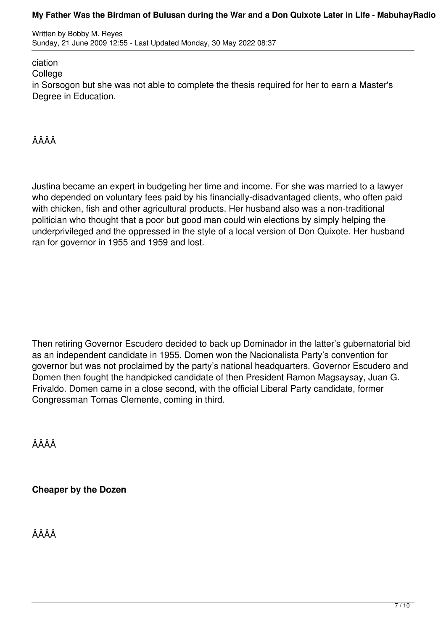Written by Bobby M. Reyes Sunday, 21 June 2009 12:55 - Last Updated Monday, 30 May 2022 08:37

### ciation

**College** 

in Sorsogon but she was not able to complete the thesis required for her to earn a Master's Degree in Education.

## ÂÂÂÂ

Justina became an expert in budgeting her time and income. For she was married to a lawyer who depended on voluntary fees paid by his financially-disadvantaged clients, who often paid with chicken, fish and other agricultural products. Her husband also was a non-traditional politician who thought that a poor but good man could win elections by simply helping the underprivileged and the oppressed in the style of a local version of Don Quixote. Her husband ran for governor in 1955 and 1959 and lost.

Then retiring Governor Escudero decided to back up Dominador in the latter's gubernatorial bid as an independent candidate in 1955. Domen won the Nacionalista Party's convention for governor but was not proclaimed by the party's national headquarters. Governor Escudero and Domen then fought the handpicked candidate of then President Ramon Magsaysay, Juan G. Frivaldo. Domen came in a close second, with the official Liberal Party candidate, former Congressman Tomas Clemente, coming in third.

ÂÂÂÂ

**Cheaper by the Dozen**

ÂÂÂÂ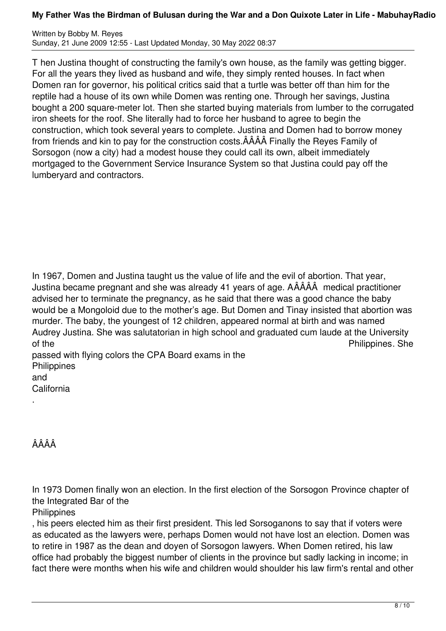Written by Bobby M. Reyes Sunday, 21 June 2009 12:55 - Last Updated Monday, 30 May 2022 08:37

T hen Justina thought of constructing the family's own house, as the family was getting bigger. For all the years they lived as husband and wife, they simply rented houses. In fact when Domen ran for governor, his political critics said that a turtle was better off than him for the reptile had a house of its own while Domen was renting one. Through her savings, Justina bought a 200 square-meter lot. Then she started buying materials from lumber to the corrugated iron sheets for the roof. She literally had to force her husband to agree to begin the construction, which took several years to complete. Justina and Domen had to borrow money from friends and kin to pay for the construction costs.ÂÂÂÂ Finally the Reyes Family of Sorsogon (now a city) had a modest house they could call its own, albeit immediately mortgaged to the Government Service Insurance System so that Justina could pay off the lumberyard and contractors.

In 1967, Domen and Justina taught us the value of life and the evil of abortion. That year, Justina became pregnant and she was already 41 years of age. AÂÂÂÂ medical practitioner advised her to terminate the pregnancy, as he said that there was a good chance the baby would be a Mongoloid due to the mother's age. But Domen and Tinay insisted that abortion was murder. The baby, the youngest of 12 children, appeared normal at birth and was named Audrey Justina. She was salutatorian in high school and graduated cum laude at the University of the **Philippines**. She

passed with flying colors the CPA Board exams in the **Philippines** and **California** 

ÂÂÂÂ

.

In 1973 Domen finally won an election. In the first election of the Sorsogon Province chapter of the Integrated Bar of the

**Philippines** 

, his peers elected him as their first president. This led Sorsoganons to say that if voters were as educated as the lawyers were, perhaps Domen would not have lost an election. Domen was to retire in 1987 as the dean and doyen of Sorsogon lawyers. When Domen retired, his law office had probably the biggest number of clients in the province but sadly lacking in income; in fact there were months when his wife and children would shoulder his law firm's rental and other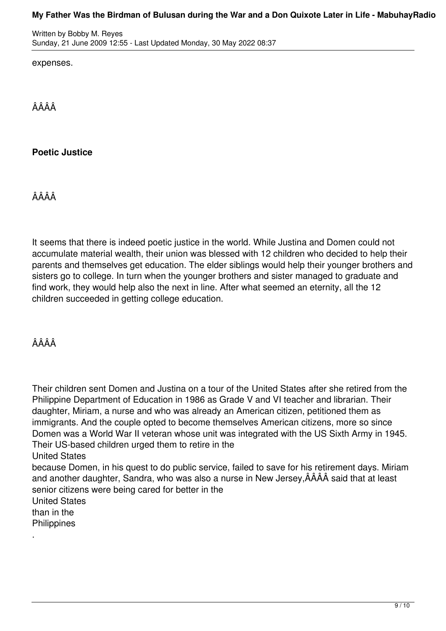Written by Bobby M. Reyes Sunday, 21 June 2009 12:55 - Last Updated Monday, 30 May 2022 08:37

expenses.

ÂÂÂÂ

## **Poetic Justice**

ÂÂÂÂ

It seems that there is indeed poetic justice in the world. While Justina and Domen could not accumulate material wealth, their union was blessed with 12 children who decided to help their parents and themselves get education. The elder siblings would help their younger brothers and sisters go to college. In turn when the younger brothers and sister managed to graduate and find work, they would help also the next in line. After what seemed an eternity, all the 12 children succeeded in getting college education.

ÂÂÂÂ

Their children sent Domen and Justina on a tour of the United States after she retired from the Philippine Department of Education in 1986 as Grade V and VI teacher and librarian. Their daughter, Miriam, a nurse and who was already an American citizen, petitioned them as immigrants. And the couple opted to become themselves American citizens, more so since Domen was a World War II veteran whose unit was integrated with the US Sixth Army in 1945. Their US-based children urged them to retire in the

United States

because Domen, in his quest to do public service, failed to save for his retirement days. Miriam and another daughter, Sandra, who was also a nurse in New Jersey,ÂÂÂÂ said that at least senior citizens were being cared for better in the

United States than in the

**Philippines** 

.